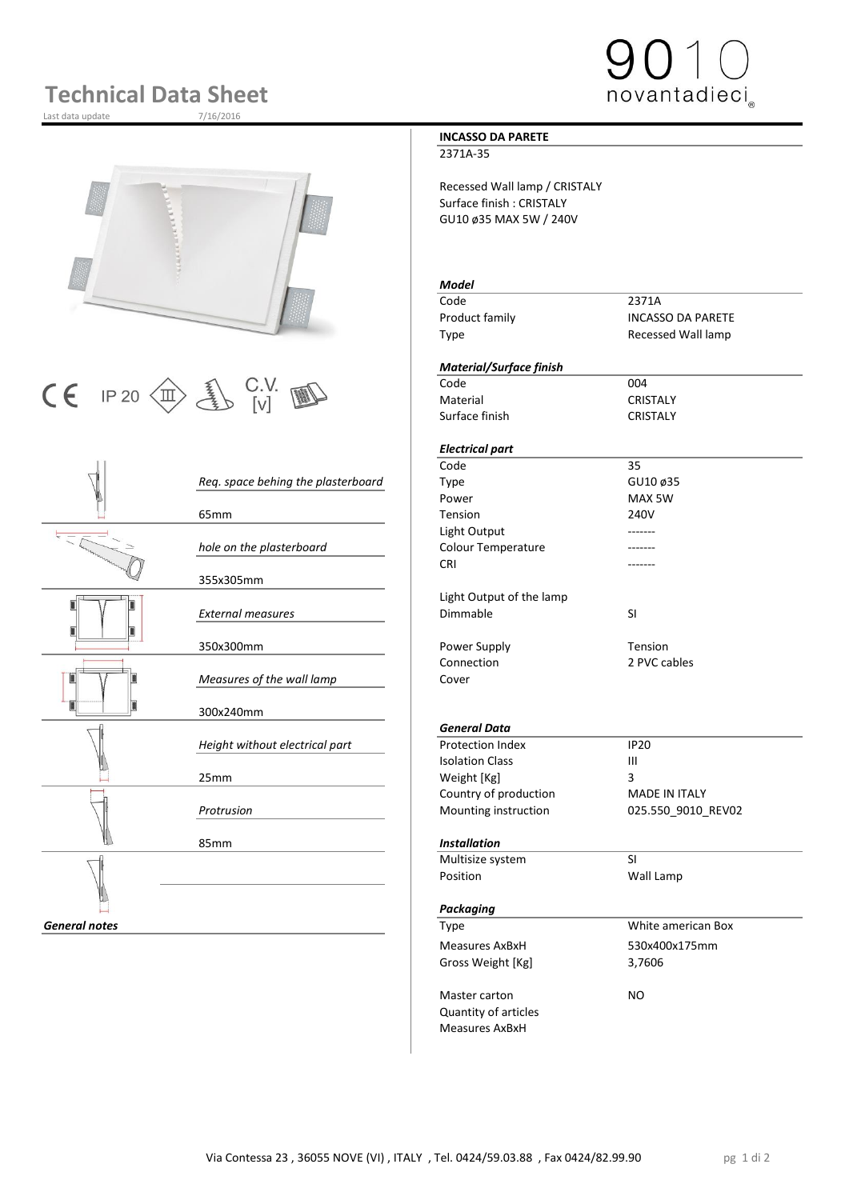# **Technical Data Sheet**

Last data update





 $\begin{array}{|c|c|c|c|}\n\hline\n\text{C} & \text{IP 20}\n\hline\n\text{CD} & \text{UV} & \text{W} & \text{C} & \text{C} & \text{C} & \text{C} & \text{C} & \text{C} \\
\hline\n\text{C} & \text{C} & \text{C} & \text{C} & \text{C} & \text{C} & \text{C} & \text{C} \\
\hline\n\end{array}$ 

|                      |                                    | Code                     | 35                   |
|----------------------|------------------------------------|--------------------------|----------------------|
|                      | Req. space behing the plasterboard | Type                     | GU10 ø35             |
|                      |                                    | Power                    | MAX 5W               |
|                      | 65 <sub>mm</sub>                   | Tension                  | 240V                 |
|                      |                                    | Light Output             |                      |
|                      | hole on the plasterboard           | Colour Temperature       |                      |
|                      |                                    | <b>CRI</b>               |                      |
|                      | 355x305mm                          |                          |                      |
|                      |                                    | Light Output of the lamp |                      |
|                      | <b>External measures</b>           | Dimmable                 | SI                   |
|                      |                                    |                          |                      |
|                      | 350x300mm                          | Power Supply             | Tension              |
|                      |                                    | Connection               | 2 PVC cables         |
|                      | Measures of the wall lamp          | Cover                    |                      |
|                      |                                    |                          |                      |
|                      | 300x240mm                          |                          |                      |
|                      |                                    | <b>General Data</b>      |                      |
|                      | Height without electrical part     | Protection Index         | <b>IP20</b>          |
|                      |                                    | <b>Isolation Class</b>   | $\mathbf{III}$       |
|                      | 25mm                               | Weight [Kg]              | 3                    |
|                      |                                    | Country of production    | <b>MADE IN ITALY</b> |
|                      | Protrusion                         | Mounting instruction     | 025.550_9010_REV     |
|                      |                                    |                          |                      |
|                      | 85mm                               | <b>Installation</b>      |                      |
|                      |                                    | Multisize system         | <b>SI</b>            |
|                      |                                    | Position                 | Wall Lamp            |
|                      |                                    |                          |                      |
|                      |                                    | Packaging                |                      |
| <b>General notes</b> |                                    | Type                     | White american Box   |
|                      |                                    | Measures AxBxH           | 530x400x175mm        |
|                      |                                    |                          |                      |

### **INCASSO DA PARETE**

#### 2371A-35

Recessed Wall lamp / CRISTALY Surface finish : CRISTALY GU10 ø35 MAX 5W / 240V

#### *Model*

Code 2371A Product family **INCASSO DA PARETE** Type **Recessed Wall lamp** 

#### *Material/Surface finish*

Material CRISTALY Surface finish CRISTALY

## *Electrical part*

#### *General Data*

| Height without electrical part | <b>Protection Index</b> | IP <sub>20</sub>   |
|--------------------------------|-------------------------|--------------------|
|                                | <b>Isolation Class</b>  | Ш                  |
| 25mm                           | Weight [Kg]             |                    |
|                                | Country of production   | MADE IN ITALY      |
| Protrusion                     | Mounting instruction    | 025.550 9010 REV02 |

#### 85mm *Installation*

| Multisize system            | SI                 |  |
|-----------------------------|--------------------|--|
| Position                    | Wall Lamp          |  |
|                             |                    |  |
| Packaging                   |                    |  |
| Type                        | White american Box |  |
| Measures AxBxH              | 530x400x175mm      |  |
| Gross Weight [Kg]           | 3,7606             |  |
|                             |                    |  |
| Master carton               | NO.                |  |
| <b>Quantity of articles</b> |                    |  |
| Measures AxBxH              |                    |  |